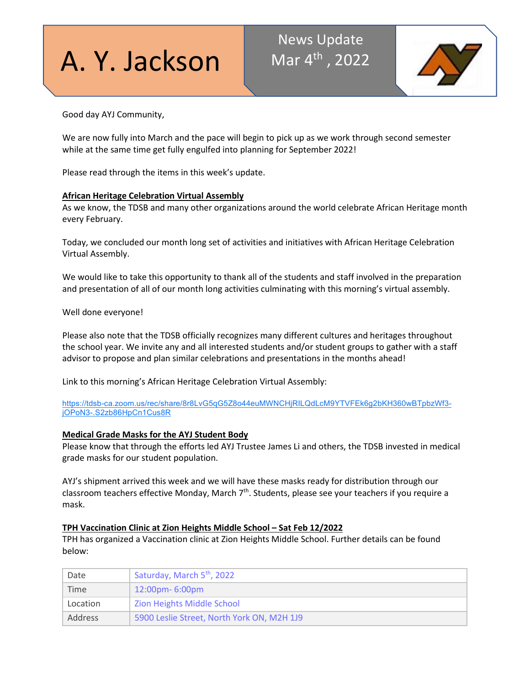# A. Y. Jackson

# News Update Mar  $4^{\text{th}}$ , 2022



Good day AYJ Community,

We are now fully into March and the pace will begin to pick up as we work through second semester while at the same time get fully engulfed into planning for September 2022!

Please read through the items in this week's update.

#### **African Heritage Celebration Virtual Assembly**

As we know, the TDSB and many other organizations around the world celebrate African Heritage month every February.

Today, we concluded our month long set of activities and initiatives with African Heritage Celebration Virtual Assembly.

We would like to take this opportunity to thank all of the students and staff involved in the preparation and presentation of all of our month long activities culminating with this morning's virtual assembly.

Well done everyone!

Please also note that the TDSB officially recognizes many different cultures and heritages throughout the school year. We invite any and all interested students and/or student groups to gather with a staff advisor to propose and plan similar celebrations and presentations in the months ahead!

Link to this morning's African Heritage Celebration Virtual Assembly:

[https://tdsb-ca.zoom.us/rec/share/8r8LvG5qG5Z8o44euMWNCHjRILQdLcM9YTVFEk6g2bKH360wBTpbzWf3](https://tdsb-ca.zoom.us/rec/share/8r8LvG5qG5Z8o44euMWNCHjRILQdLcM9YTVFEk6g2bKH360wBTpbzWf3-jOPoN3-.S2zb86HpCn1Cus8R) [jOPoN3-.S2zb86HpCn1Cus8R](https://tdsb-ca.zoom.us/rec/share/8r8LvG5qG5Z8o44euMWNCHjRILQdLcM9YTVFEk6g2bKH360wBTpbzWf3-jOPoN3-.S2zb86HpCn1Cus8R)

## **Medical Grade Masks for the AYJ Student Body**

Please know that through the efforts led AYJ Trustee James Li and others, the TDSB invested in medical grade masks for our student population.

AYJ's shipment arrived this week and we will have these masks ready for distribution through our classroom teachers effective Monday, March 7<sup>th</sup>. Students, please see your teachers if you require a mask.

#### **TPH Vaccination Clinic at Zion Heights Middle School – Sat Feb 12/2022**

TPH has organized a Vaccination clinic at Zion Heights Middle School. Further details can be found below:

| Date           | Saturday, March 5 <sup>th</sup> , 2022     |
|----------------|--------------------------------------------|
| Time           | $12:00 \text{pm} - 6:00 \text{pm}$         |
| Location       | Zion Heights Middle School                 |
| <b>Address</b> | 5900 Leslie Street, North York ON, M2H 1J9 |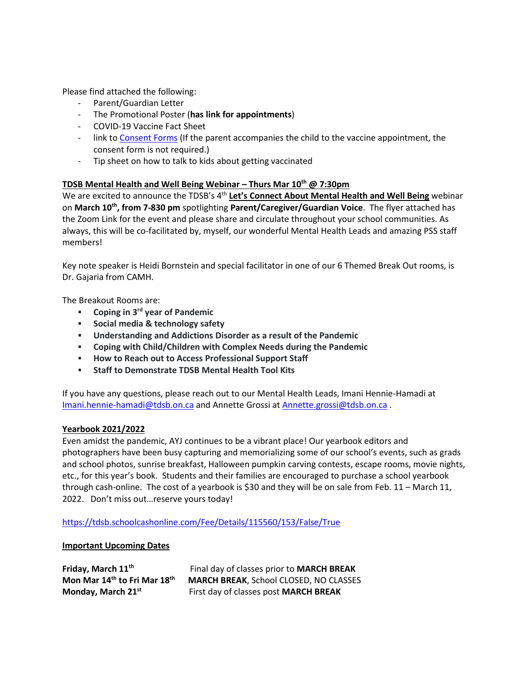Please find attached the following:

- Parent/Guardian Letter
- The Promotional Poster (**has link for appointments**)
- COVID-19 Vaccine Fact Sheet
- link to [Consent Forms](https://www.health.gov.on.ca/en/pro/programs/publichealth/coronavirus/docs/vaccine/COVID-19_vaccine_consent_form_youth.pdf) (If the parent accompanies the child to the vaccine appointment, the consent form is not required.)
- Tip sheet on how to talk to kids about getting vaccinated

## **TDSB Mental Health and Well Being Webinar – Thurs Mar 10<sup>th</sup> @ 7:30pm**

We are excited to announce the TDSB's 4<sup>th</sup> Let's Connect About Mental Health and Well Being webinar on **March 10th, from 7-830 pm** spotlighting **Parent/Caregiver/Guardian Voice**. The flyer attached has the Zoom Link for the event and please share and circulate throughout your school communities. As always, this will be co-facilitated by, myself, our wonderful Mental Health Leads and amazing PSS staff members!

Key note speaker is Heidi Bornstein and special facilitator in one of our 6 Themed Break Out rooms, is Dr. Gajaria from CAMH.

The Breakout Rooms are:

- **Coping in 3rd year of Pandemic**
- **Social media & technology safety**
- **Understanding and Addictions Disorder as a result of the Pandemic**
- **Coping with Child/Children with Complex Needs during the Pandemic**
- **How to Reach out to Access Professional Support Staff**
- **Staff to Demonstrate TDSB Mental Health Tool Kits**

If you have any questions, please reach out to our Mental Health Leads, Imani Hennie-Hamadi at [Imani.hennie-hamadi@tdsb.on.ca](mailto:Imani.hennie-hamadi@tdsb.on.ca) and Annette Grossi at [Annette.grossi@tdsb.on.ca](mailto:Annette.grossi@tdsb.on.ca) .

#### **Yearbook 2021/2022**

Even amidst the pandemic, AYJ continues to be a vibrant place! Our yearbook editors and photographers have been busy capturing and memorializing some of our school's events, such as grads and school photos, sunrise breakfast, Halloween pumpkin carving contests, escape rooms, movie nights, etc., for this year's book. Students and their families are encouraged to purchase a school yearbook through cash-online. The cost of a yearbook is \$30 and they will be on sale from Feb. 11 – March 11, 2022. Don't miss out…reserve yours today!

<https://tdsb.schoolcashonline.com/Fee/Details/115560/153/False/True>

#### **Important Upcoming Dates**

| Friday, March 11 <sup>th</sup>                       | Final day of classes prior to MARCH BREAK     |
|------------------------------------------------------|-----------------------------------------------|
| Mon Mar 14 <sup>th</sup> to Fri Mar 18 <sup>th</sup> | <b>MARCH BREAK, School CLOSED, NO CLASSES</b> |
| Monday, March 21st                                   | First day of classes post MARCH BREAK         |